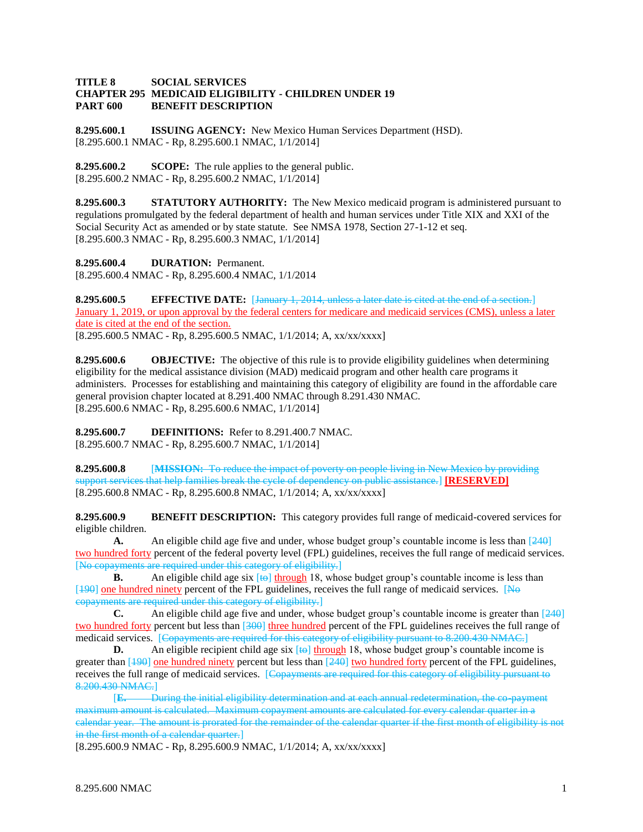## **TITLE 8 SOCIAL SERVICES CHAPTER 295 MEDICAID ELIGIBILITY - CHILDREN UNDER 19 PART 600 BENEFIT DESCRIPTION**

**8.295.600.1 ISSUING AGENCY:** New Mexico Human Services Department (HSD). [8.295.600.1 NMAC - Rp, 8.295.600.1 NMAC, 1/1/2014]

**8.295.600.2 SCOPE:** The rule applies to the general public. [8.295.600.2 NMAC - Rp, 8.295.600.2 NMAC, 1/1/2014]

**8.295.600.3 STATUTORY AUTHORITY:** The New Mexico medicaid program is administered pursuant to regulations promulgated by the federal department of health and human services under Title XIX and XXI of the Social Security Act as amended or by state statute. See NMSA 1978, Section 27-1-12 et seq. [8.295.600.3 NMAC - Rp, 8.295.600.3 NMAC, 1/1/2014]

**8.295.600.4 DURATION:** Permanent. [8.295.600.4 NMAC - Rp, 8.295.600.4 NMAC, 1/1/2014

**8.295.600.5 EFFECTIVE DATE:** [January 1, 2014, unless a later date is cited at the end of a section.] January 1, 2019, or upon approval by the federal centers for medicare and medicaid services (CMS), unless a later date is cited at the end of the section. [8.295.600.5 NMAC - Rp, 8.295.600.5 NMAC, 1/1/2014; A, xx/xx/xxxx]

**8.295.600.6 OBJECTIVE:** The objective of this rule is to provide eligibility guidelines when determining eligibility for the medical assistance division (MAD) medicaid program and other health care programs it administers. Processes for establishing and maintaining this category of eligibility are found in the affordable care general provision chapter located at 8.291.400 NMAC through 8.291.430 NMAC. [8.295.600.6 NMAC - Rp, 8.295.600.6 NMAC, 1/1/2014]

**8.295.600.7 DEFINITIONS:** Refer to 8.291.400.7 NMAC. [8.295.600.7 NMAC - Rp, 8.295.600.7 NMAC, 1/1/2014]

**8.295.600.8** [**MISSION:** To reduce the impact of poverty on people living in New Mexico by providing support services that help families break the cycle of dependency on public assistance.] **[RESERVED]** [8.295.600.8 NMAC - Rp, 8.295.600.8 NMAC, 1/1/2014; A, xx/xx/xxxx]

**8.295.600.9 BENEFIT DESCRIPTION:** This category provides full range of medicaid-covered services for eligible children.

**A.** An eligible child age five and under, whose budget group's countable income is less than [240] two hundred forty percent of the federal poverty level (FPL) guidelines, receives the full range of medicaid services. [No copayments are required under this category of eligibility.]

**B.** An eligible child age six  $[\ast\Theta]$  through 18, whose budget group's countable income is less than [190] one hundred ninety percent of the FPL guidelines, receives the full range of medicaid services. [No copayments are required under this category of eligibility.]

**C.** An eligible child age five and under, whose budget group's countable income is greater than [240] two hundred forty percent but less than [300] three hundred percent of the FPL guidelines receives the full range of medicaid services. [Copayments are required for this category of eligibility pursuant to 8.200.430 NMAC.]

**D.** An eligible recipient child age six  $\left[\frac{1}{2}\right]$  through 18, whose budget group's countable income is greater than  $[190]$  one hundred ninety percent but less than  $[240]$  two hundred forty percent of the FPL guidelines, receives the full range of medicaid services. [Copayments are required for this category of eligibility pursuant to 8.200.430 NMAC.]

[**E.** During the initial eligibility determination and at each annual redetermination, the co-payment maximum amount is calculated. Maximum copayment amounts are calculated for every calendar quarter in a calendar year. The amount is prorated for the remainder of the calendar quarter if the first month of eligibility is not in the first month of a calendar quarter.]

[8.295.600.9 NMAC - Rp, 8.295.600.9 NMAC, 1/1/2014; A, xx/xx/xxxx]